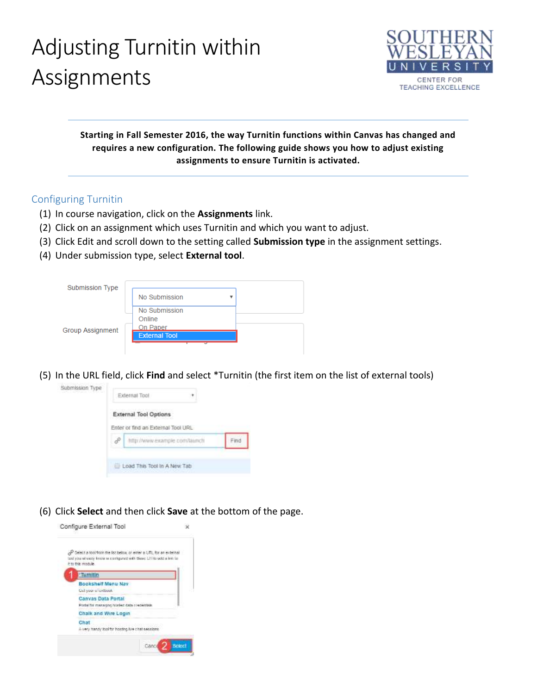# Adjusting Turnitin within Assignments



### **Starting in Fall Semester 2016, the way Turnitin functions within Canvas has changed and requires a new configuration. The following guide shows you how to adjust existing assignments to ensure Turnitin is activated.**

### Configuring Turnitin

- (1) In course navigation, click on the **Assignments** link.
- (2) Click on an assignment which uses Turnitin and which you want to adjust.
- (3) Click Edit and scroll down to the setting called **Submission type** in the assignment settings.
- (4) Under submission type, select **External tool**.

| Submission Type         |                                  |  |  |  |  |
|-------------------------|----------------------------------|--|--|--|--|
|                         | No Submission                    |  |  |  |  |
| <b>Group Assignment</b> | No Submission<br>Online          |  |  |  |  |
|                         | On Paper<br><b>External Tool</b> |  |  |  |  |
|                         |                                  |  |  |  |  |

(5) In the URL field, click **Find** and select \*Turnitin (the first item on the list of external tools)



(6) Click **Select** and then click **Save** at the bottom of the page.